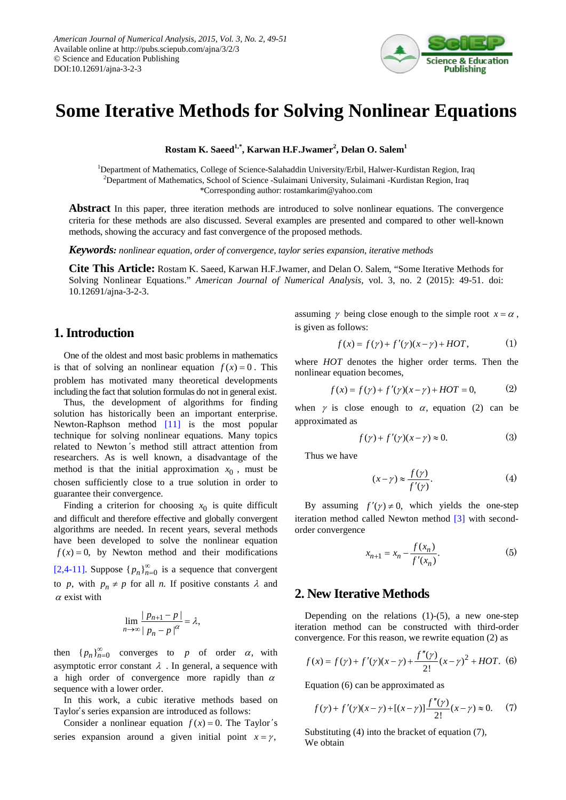

# **Some Iterative Methods for Solving Nonlinear Equations**

**Rostam K. Saeed1,\*, Karwan H.F.Jwamer<sup>2</sup> , Delan O. Salem1**

<sup>1</sup>Department of Mathematics, College of Science-Salahaddin University/Erbil, Halwer-Kurdistan Region, Iraq 2 Department of Mathematics, School of Science -Sulaimani University, Sulaimani -Kurdistan Region, Iraq \*Corresponding author: rostamkarim@yahoo.com

**Abstract** In this paper, three iteration methods are introduced to solve nonlinear equations. The convergence criteria for these methods are also discussed. Several examples are presented and compared to other well-known methods, showing the accuracy and fast convergence of the proposed methods.

*Keywords: nonlinear equation, order of convergence, taylor series expansion, iterative methods*

**Cite This Article:** Rostam K. Saeed, Karwan H.F.Jwamer, and Delan O. Salem, "Some Iterative Methods for Solving Nonlinear Equations." *American Journal of Numerical Analysis*, vol. 3, no. 2 (2015): 49-51. doi: 10.12691/ajna-3-2-3.

# **1. Introduction**

One of the oldest and most basic problems in mathematics is that of solving an nonlinear equation  $f(x) = 0$ . This problem has motivated many theoretical developments including the fact that solution formulas do not in general exist.

Thus, the development of algorithms for finding solution has historically been an important enterprise. Newton-Raphson method [\[11\]](#page-2-0) is the most popular technique for solving nonlinear equations. Many topics related to Newton ̓s method still attract attention from researchers. As is well known, a disadvantage of the method is that the initial approximation  $x_0$ , must be chosen sufficiently close to a true solution in order to guarantee their convergence.

Finding a criterion for choosing  $x_0$  is quite difficult and difficult and therefore effective and globally convergent algorithms are needed. In recent years, several methods have been developed to solve the nonlinear equation  $f(x) = 0$ , by Newton method and their modifications [\[2,4-11\].](#page-2-1) Suppose  $\{p_n\}_{n=0}^{\infty}$  is a sequence that convergent to *p*, with  $p_n \neq p$  for all *n*. If positive constants  $\lambda$  and  $\alpha$  exist with

$$
\lim_{n\to\infty}\frac{|p_{n+1}-p|}{|p_n-p|^{\alpha}}=\lambda,
$$

then  ${ p_n }_{n=0}^{\infty}$  converges to *p* of order  $\alpha$ , with asymptotic error constant  $\lambda$ . In general, a sequence with a high order of convergence more rapidly than  $\alpha$ sequence with a lower order.

In this work, a cubic iterative methods based on Taylor's series expansion are introduced as follows:

Consider a nonlinear equation  $f(x) = 0$ . The Taylor's series expansion around a given initial point  $x = \gamma$ ,

assuming  $\gamma$  being close enough to the simple root  $x = \alpha$ , is given as follows:

$$
f(x) = f(\gamma) + f'(\gamma)(x - \gamma) + HOT,
$$
 (1)

where *HOT* denotes the higher order terms. Then the nonlinear equation becomes,

$$
f(x) = f(\gamma) + f'(\gamma)(x - \gamma) + HOT = 0,
$$
 (2)

when  $\gamma$  is close enough to  $\alpha$ , equation (2) can be approximated as

$$
f(\gamma) + f'(\gamma)(x - \gamma) \approx 0.
$$
 (3)

Thus we have

$$
(x - \gamma) \approx \frac{f(\gamma)}{f'(\gamma)}.\tag{4}
$$

By assuming  $f'(\gamma) \neq 0$ , which yields the one-step iteration method called Newton method [\[3\]](#page-2-2) with secondorder convergence

$$
x_{n+1} = x_n - \frac{f(x_n)}{f'(x_n)}.\t\t(5)
$$

# **2. New Iterative Methods**

Depending on the relations  $(1)-(5)$ , a new one-step iteration method can be constructed with third-order convergence. For this reason, we rewrite equation (2) as

$$
f(x) = f(\gamma) + f'(\gamma)(x - \gamma) + \frac{f''(\gamma)}{2!}(x - \gamma)^2 + HOT. \tag{6}
$$

Equation (6) can be approximated as

$$
f(\gamma) + f'(\gamma)(x - \gamma) + [(x - \gamma)] \frac{f''(\gamma)}{2!} (x - \gamma) \approx 0. \tag{7}
$$

Substituting (4) into the bracket of equation (7), We obtain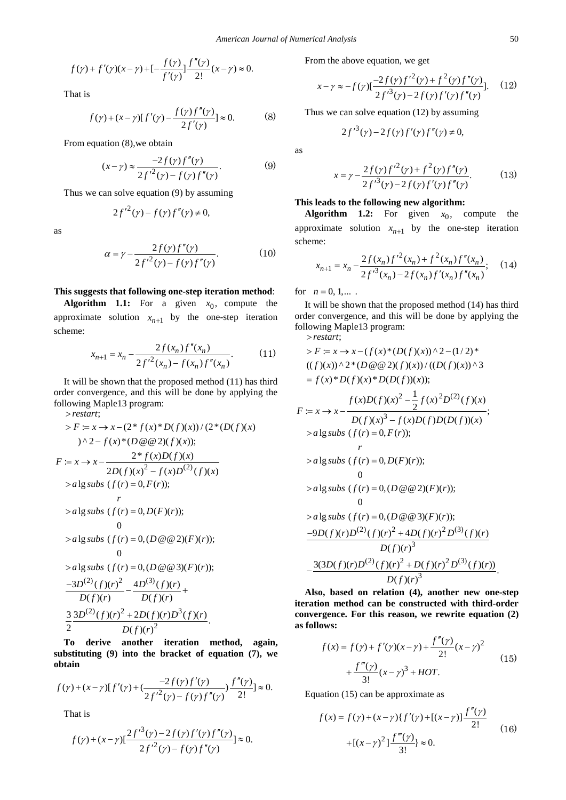$$
f(\gamma) + f'(\gamma)(x - \gamma) + [-\frac{f(\gamma)}{f'(\gamma)}]\frac{f''(\gamma)}{2!}(x - \gamma) \approx 0.
$$

That is

$$
f(\gamma) + (x - \gamma)[f'(\gamma) - \frac{f(\gamma)f''(\gamma)}{2f'(\gamma)}] \approx 0.
$$
 (8)

From equation (8),we obtain

$$
(x - \gamma) \approx \frac{-2f(\gamma)f''(\gamma)}{2f'^2(\gamma) - f(\gamma)f''(\gamma)}.
$$
 (9)

Thus we can solve equation (9) by assuming

$$
2f^{\prime 2}(\gamma) - f(\gamma)f''(\gamma) \neq 0,
$$

as

$$
\alpha = \gamma - \frac{2f(\gamma)f''(\gamma)}{2f'^{2}(\gamma) - f(\gamma)f''(\gamma)}.
$$
 (10)

#### **This suggests that following one-step iteration method**:

**Algorithm 1.1:** For a given  $x_0$ , compute the approximate solution  $x_{n+1}$  by the one-step iteration scheme:

$$
x_{n+1} = x_n - \frac{2f(x_n)f''(x_n)}{2f'^2(x_n) - f(x_n)f''(x_n)}.
$$
 (11)

It will be shown that the proposed method (11) has third order convergence, and this will be done by applying the following Maple13 program: > *restart*;

 $2 - f(x)D^{(2)}$ 

 $2D(f)(x)^{2} - f(x)D^{(2)}(f)(x)$ 

$$
\Rightarrow F := x \Rightarrow x - (2 * f(x) * D(f)(x)) / (2 * (D(f)(x))
$$
  

$$
\Rightarrow \quad \Rightarrow x - f(x) * (D \circledast 2)(f)(x));
$$
  

$$
F := x \Rightarrow x - \frac{2 * f(x)D(f)(x)}{2D(f)(x)^2 - f(x)D^{(2)}(f)(x)}
$$

> 
$$
a \lg subs
$$
 (f(r) = 0, F(r));  
\nr  
\n>  $a \lg subs$  (f(r) = 0, D(F)(r));  
\n0  
\n>  $a \lg subs$  (f(r) = 0, (D @ @ 2)(F)(r));  
\n0  
\n>  $a \lg subs$  (f(r) = 0, (D @ @ 3)(F)(r));  
\n
$$
\frac{-3D^{(2)}(f)(r)^2}{D(f)(r)} - \frac{4D^{(3)}(f)(r)}{D(f)(r)} + \frac{3}{2} \frac{3D^{(2)}(f)(r)^2 + 2D(f)(r)D^3(f)(r)}{D(f)(r)^2}.
$$

**To derive another iteration method, again, substituting (9) into the bracket of equation (7), we obtain**

$$
f(\gamma) + (x - \gamma)[f'(\gamma) + (\frac{-2f(\gamma)f'(\gamma)}{2f'^2(\gamma) - f(\gamma)f''(\gamma)})\frac{f''(\gamma)}{2!}] \approx 0.
$$

That is

$$
f(\gamma) + (x - \gamma) \left[ \frac{2f'^{3}(\gamma) - 2f(\gamma)f'(\gamma)f''(\gamma)}{2f'^{2}(\gamma) - f(\gamma)f''(\gamma)} \right] \approx 0.
$$

From the above equation, we get

$$
x - \gamma \approx -f(\gamma)[\frac{-2f(\gamma)f'^2(\gamma) + f^2(\gamma)f''(\gamma)}{2f'^3(\gamma) - 2f(\gamma)f'(\gamma)f''(\gamma)}].
$$
 (12)

Thus we can solve equation (12) by assuming

$$
2f'^{3}(\gamma) - 2f(\gamma)f'(\gamma)f''(\gamma) \neq 0,
$$

as

$$
x = \gamma - \frac{2f(\gamma)f'^2(\gamma) + f^2(\gamma)f''(\gamma)}{2f'^3(\gamma) - 2f(\gamma)f'(\gamma)f''(\gamma)}.
$$
 (13)

#### **This leads to the following new algorithm:**

**Algorithm 1.2:** For given  $x_0$ , compute the approximate solution  $x_{n+1}$  by the one-step iteration scheme:

$$
x_{n+1} = x_n - \frac{2f(x_n)f'^2(x_n) + f^2(x_n)f''(x_n)}{2f'^3(x_n) - 2f(x_n)f'(x_n)f''(x_n)};
$$
 (14)

for  $n = 0, 1, ...$ 

It will be shown that the proposed method (14) has third order convergence, and this will be done by applying the following Maple13 program: > *restart*;

> 
$$
F := x \rightarrow x - (f(x)* (D(f)(x)) \land 2 - (1/2)*
$$
  
\n $((f)(x)) \land 2*(D \otimes Q)(f)(x))/((D(f)(x)) \land 3$   
\n $= f(x)*D(f)(x)*D(D(f))(x));$   
\n $F := x \rightarrow x - \frac{f(x)D(f)(x)^{2} - \frac{1}{2}f(x)^{2}D^{(2)}(f)(x)}{D(f)(x)^{3} - f(x)D(f)D(D(f))(x)};$   
\n $> a \lg subs (f(r) = 0, F(r));$   
\n $> a \lg subs (f(r) = 0, D(F)(r));$   
\n $0$   
\n $> a \lg subs (f(r) = 0, (D \otimes Q)(F)(r));$   
\n $0$   
\n $> a \lg subs (f(r) = 0, (D \otimes Q)(F)(r));$   
\n $\frac{-9D(f)(r)D^{(2)}(f)(r)^{2} + 4D(f)(r)^{2}D^{(3)}(f)(r)}{D(f)(r)^{3}}$   
\n $-\frac{3(3D(f)(r)D^{(2)}(f)(r)^{2} + D(f)(r)^{2}D^{(3)}(f)(r))}{D(f)(r)^{3}}.$ 

**Also, based on relation (4), another new one-step iteration method can be constructed with third-order convergence. For this reason, we rewrite equation (2) as follows:**

$$
f(x) = f(\gamma) + f'(\gamma)(x - \gamma) + \frac{f''(\gamma)}{2!}(x - \gamma)^2 + \frac{f'''(\gamma)}{3!}(x - \gamma)^3 + HOT.
$$
 (15)

Equation (15) can be approximate as

$$
f(x) = f(\gamma) + (x - \gamma) \{ f'(\gamma) + [(x - \gamma)] \frac{f''(\gamma)}{2!} + [(x - \gamma)^2] \frac{f'''(\gamma)}{3!} \approx 0.
$$
 (16)